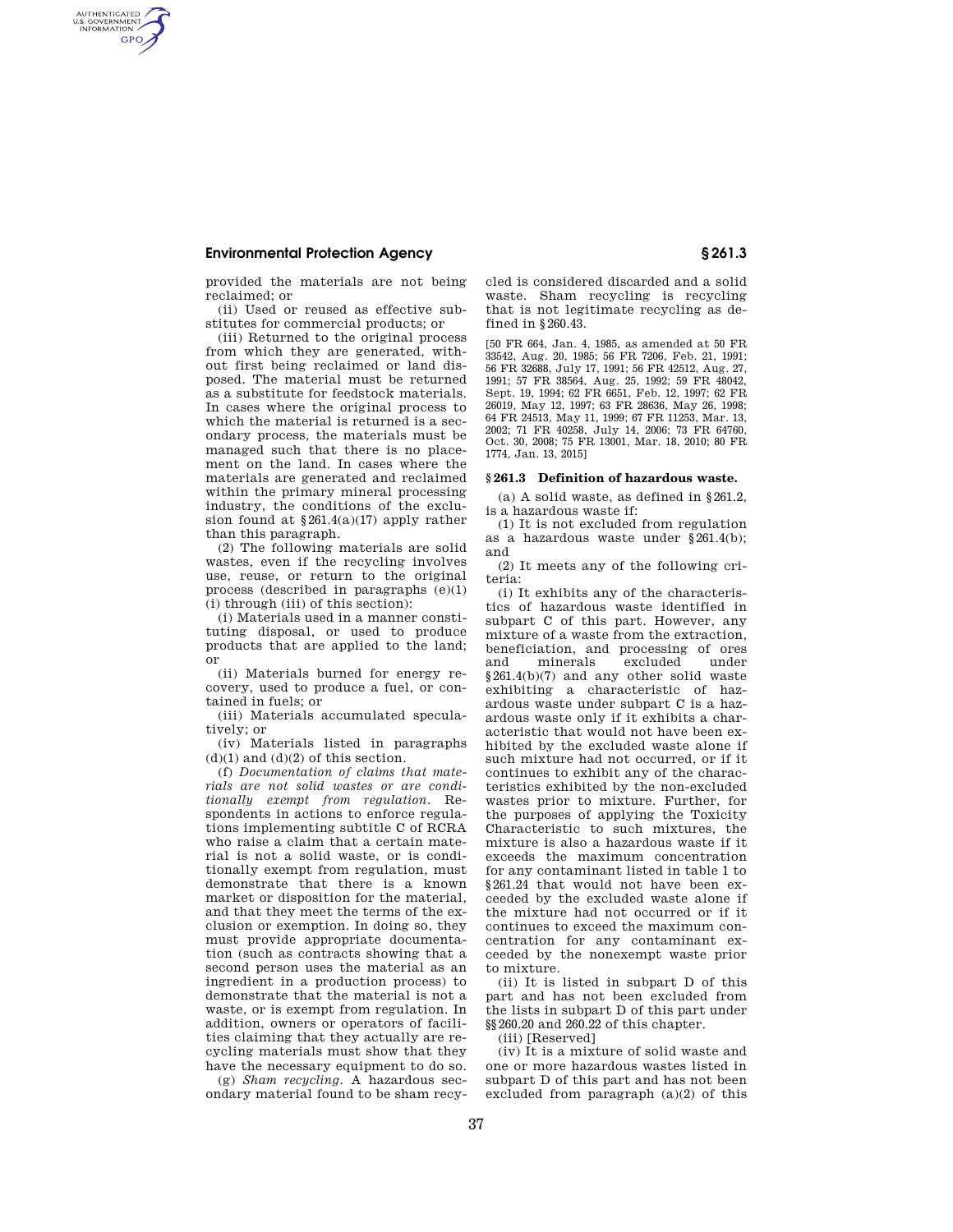AUTHENTICATED<br>U.S. GOVERNMENT<br>INFORMATION **GPO** 

> provided the materials are not being reclaimed; or

(ii) Used or reused as effective substitutes for commercial products; or

(iii) Returned to the original process from which they are generated, without first being reclaimed or land disposed. The material must be returned as a substitute for feedstock materials. In cases where the original process to which the material is returned is a secondary process, the materials must be managed such that there is no placement on the land. In cases where the materials are generated and reclaimed within the primary mineral processing industry, the conditions of the exclusion found at  $\S 261.4(a)(17)$  apply rather than this paragraph.

(2) The following materials are solid wastes, even if the recycling involves use, reuse, or return to the original process (described in paragraphs (e)(1) (i) through (iii) of this section):

(i) Materials used in a manner constituting disposal, or used to produce products that are applied to the land; or

(ii) Materials burned for energy recovery, used to produce a fuel, or contained in fuels; or

(iii) Materials accumulated speculatively; or

(iv) Materials listed in paragraphs  $(d)(1)$  and  $(d)(2)$  of this section.

(f) *Documentation of claims that materials are not solid wastes or are conditionally exempt from regulation.* Respondents in actions to enforce regulations implementing subtitle C of RCRA who raise a claim that a certain material is not a solid waste, or is conditionally exempt from regulation, must demonstrate that there is a known market or disposition for the material, and that they meet the terms of the exclusion or exemption. In doing so, they must provide appropriate documentation (such as contracts showing that a second person uses the material as an ingredient in a production process) to demonstrate that the material is not a waste, or is exempt from regulation. In addition, owners or operators of facilities claiming that they actually are recycling materials must show that they have the necessary equipment to do so.

(g) *Sham recycling.* A hazardous secondary material found to be sham recycled is considered discarded and a solid waste. Sham recycling is recycling that is not legitimate recycling as defined in §260.43.

[50 FR 664, Jan. 4, 1985, as amended at 50 FR 33542, Aug. 20, 1985; 56 FR 7206, Feb. 21, 1991; 56 FR 32688, July 17, 1991; 56 FR 42512, Aug. 27, 1991; 57 FR 38564, Aug. 25, 1992; 59 FR 48042, Sept. 19, 1994; 62 FR 6651, Feb. 12, 1997; 62 FR 26019, May 12, 1997; 63 FR 28636, May 26, 1998; 64 FR 24513, May 11, 1999; 67 FR 11253, Mar. 13, 2002; 71 FR 40258, July 14, 2006; 73 FR 64760, Oct. 30, 2008; 75 FR 13001, Mar. 18, 2010; 80 FR 1774, Jan. 13, 2015]

#### **§ 261.3 Definition of hazardous waste.**

(a) A solid waste, as defined in §261.2, is a hazardous waste if:

(1) It is not excluded from regulation as a hazardous waste under §261.4(b); and

(2) It meets any of the following criteria:

(i) It exhibits any of the characteristics of hazardous waste identified in subpart C of this part. However, any mixture of a waste from the extraction, beneficiation, and processing of ores and minerals excluded under §261.4(b)(7) and any other solid waste exhibiting a characteristic of hazardous waste under subpart C is a hazardous waste only if it exhibits a characteristic that would not have been exhibited by the excluded waste alone if such mixture had not occurred, or if it continues to exhibit any of the characteristics exhibited by the non-excluded wastes prior to mixture. Further, for the purposes of applying the Toxicity Characteristic to such mixtures, the mixture is also a hazardous waste if it exceeds the maximum concentration for any contaminant listed in table 1 to §261.24 that would not have been exceeded by the excluded waste alone if the mixture had not occurred or if it continues to exceed the maximum concentration for any contaminant exceeded by the nonexempt waste prior to mixture.

(ii) It is listed in subpart D of this part and has not been excluded from the lists in subpart D of this part under §§260.20 and 260.22 of this chapter.

(iii) [Reserved]

(iv) It is a mixture of solid waste and one or more hazardous wastes listed in subpart D of this part and has not been excluded from paragraph (a)(2) of this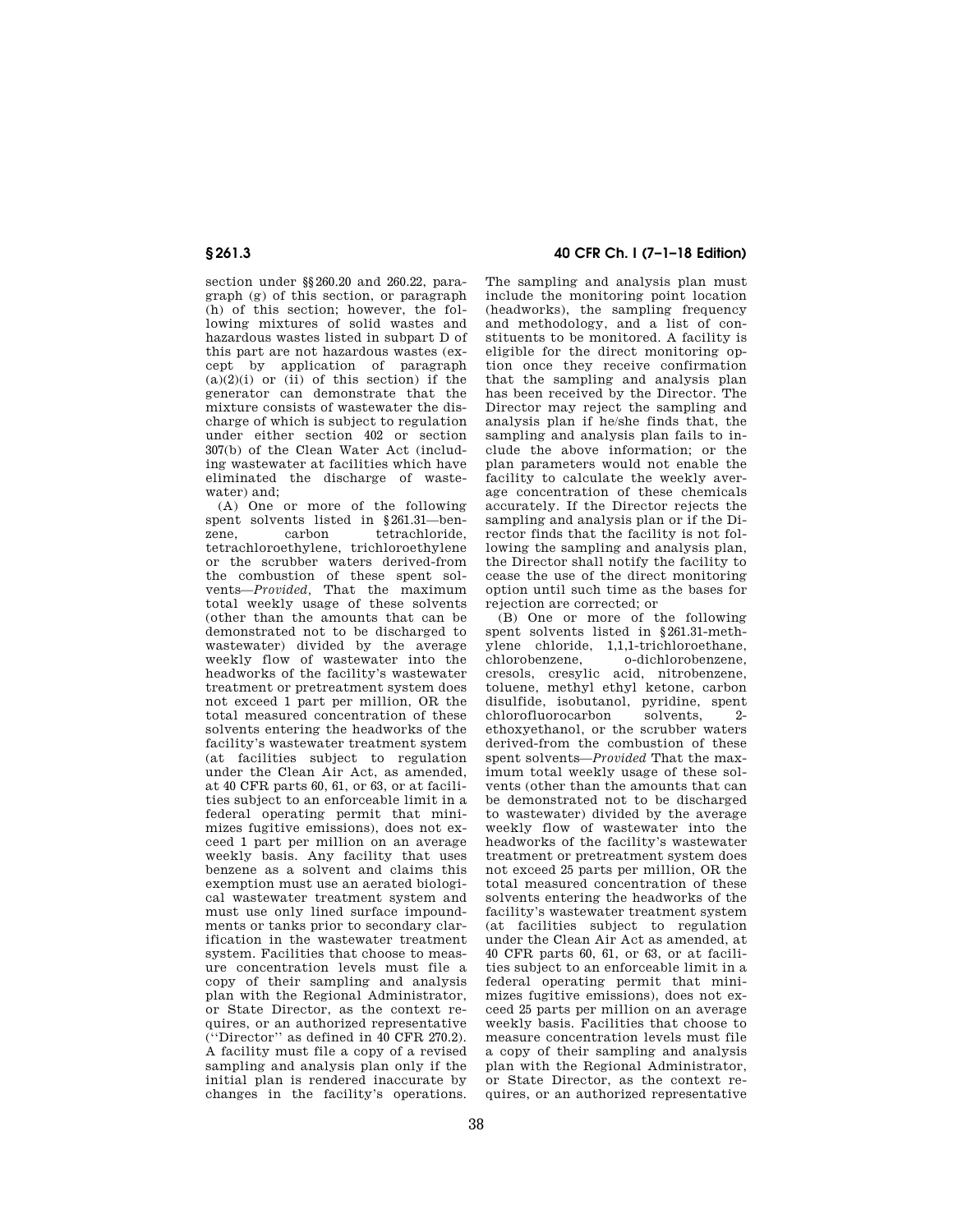section under §§260.20 and 260.22, paragraph (g) of this section, or paragraph (h) of this section; however, the following mixtures of solid wastes and hazardous wastes listed in subpart D of this part are not hazardous wastes (except by application of paragraph  $(a)(2)(i)$  or (ii) of this section) if the generator can demonstrate that the mixture consists of wastewater the discharge of which is subject to regulation under either section 402 or section 307(b) of the Clean Water Act (including wastewater at facilities which have eliminated the discharge of wastewater) and;

(A) One or more of the following spent solvents listed in §261.31—benzene, carbon tetrachloride, tetrachloroethylene, trichloroethylene or the scrubber waters derived-from the combustion of these spent solvents—*Provided,* That the maximum total weekly usage of these solvents (other than the amounts that can be demonstrated not to be discharged to wastewater) divided by the average weekly flow of wastewater into the headworks of the facility's wastewater treatment or pretreatment system does not exceed 1 part per million, OR the total measured concentration of these solvents entering the headworks of the facility's wastewater treatment system (at facilities subject to regulation under the Clean Air Act, as amended, at 40 CFR parts 60, 61, or 63, or at facilities subject to an enforceable limit in a federal operating permit that minimizes fugitive emissions), does not exceed 1 part per million on an average weekly basis. Any facility that uses benzene as a solvent and claims this exemption must use an aerated biological wastewater treatment system and must use only lined surface impoundments or tanks prior to secondary clarification in the wastewater treatment system. Facilities that choose to measure concentration levels must file a copy of their sampling and analysis plan with the Regional Administrator, or State Director, as the context requires, or an authorized representative (''Director'' as defined in 40 CFR 270.2). A facility must file a copy of a revised sampling and analysis plan only if the initial plan is rendered inaccurate by changes in the facility's operations.

# **§ 261.3 40 CFR Ch. I (7–1–18 Edition)**

The sampling and analysis plan must include the monitoring point location (headworks), the sampling frequency and methodology, and a list of constituents to be monitored. A facility is eligible for the direct monitoring option once they receive confirmation that the sampling and analysis plan has been received by the Director. The Director may reject the sampling and analysis plan if he/she finds that, the sampling and analysis plan fails to include the above information; or the plan parameters would not enable the facility to calculate the weekly average concentration of these chemicals accurately. If the Director rejects the sampling and analysis plan or if the Director finds that the facility is not following the sampling and analysis plan, the Director shall notify the facility to cease the use of the direct monitoring option until such time as the bases for rejection are corrected; or

(B) One or more of the following spent solvents listed in §261.31-methylene chloride, 1,1,1-trichloroethane, chlorobenzene, o-dichlorobenzene, chlorobenzene, o-dichlorobenzene, cresols, cresylic acid, nitrobenzene, toluene, methyl ethyl ketone, carbon disulfide, isobutanol, pyridine, spent<br>chlorofluorocarbon solvents. 2chlorofluorocarbon ethoxyethanol, or the scrubber waters derived-from the combustion of these spent solvents—*Provided* That the maximum total weekly usage of these solvents (other than the amounts that can be demonstrated not to be discharged to wastewater) divided by the average weekly flow of wastewater into the headworks of the facility's wastewater treatment or pretreatment system does not exceed 25 parts per million, OR the total measured concentration of these solvents entering the headworks of the facility's wastewater treatment system (at facilities subject to regulation under the Clean Air Act as amended, at 40 CFR parts 60, 61, or 63, or at facilities subject to an enforceable limit in a federal operating permit that minimizes fugitive emissions), does not exceed 25 parts per million on an average weekly basis. Facilities that choose to measure concentration levels must file a copy of their sampling and analysis plan with the Regional Administrator, or State Director, as the context requires, or an authorized representative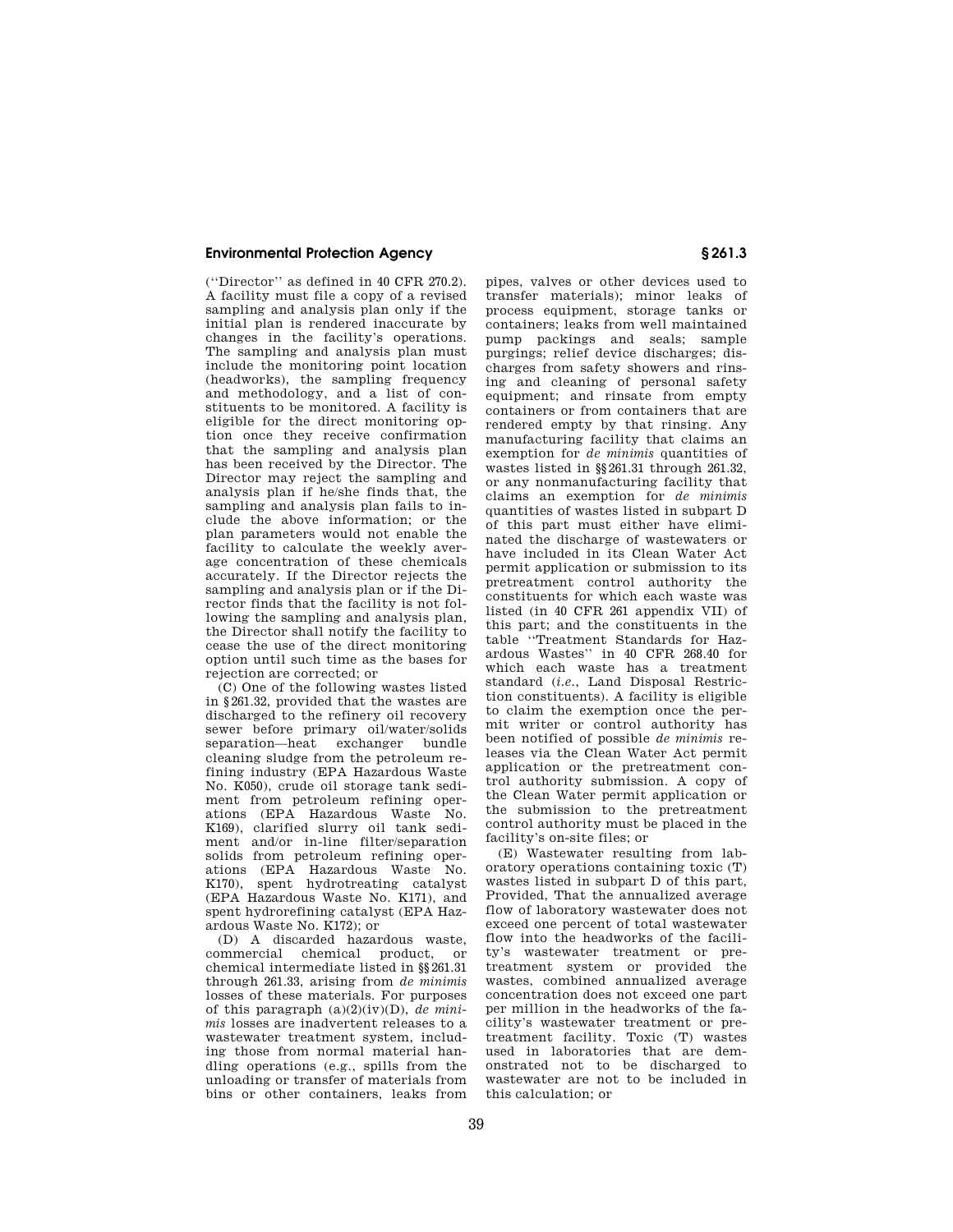(''Director'' as defined in 40 CFR 270.2). A facility must file a copy of a revised sampling and analysis plan only if the initial plan is rendered inaccurate by changes in the facility's operations. The sampling and analysis plan must include the monitoring point location (headworks), the sampling frequency and methodology, and a list of constituents to be monitored. A facility is eligible for the direct monitoring option once they receive confirmation that the sampling and analysis plan has been received by the Director. The Director may reject the sampling and analysis plan if he/she finds that, the sampling and analysis plan fails to include the above information; or the plan parameters would not enable the facility to calculate the weekly average concentration of these chemicals accurately. If the Director rejects the sampling and analysis plan or if the Director finds that the facility is not following the sampling and analysis plan, the Director shall notify the facility to cease the use of the direct monitoring option until such time as the bases for rejection are corrected; or

(C) One of the following wastes listed in §261.32, provided that the wastes are discharged to the refinery oil recovery sewer before primary oil/water/solids separation—heat exchanger bundle cleaning sludge from the petroleum refining industry (EPA Hazardous Waste No. K050), crude oil storage tank sediment from petroleum refining operations (EPA Hazardous Waste No. K169), clarified slurry oil tank sediment and/or in-line filter/separation solids from petroleum refining operations (EPA Hazardous Waste No. K170), spent hydrotreating catalyst (EPA Hazardous Waste No. K171), and spent hydrorefining catalyst (EPA Hazardous Waste No. K172); or

(D) A discarded hazardous waste, commercial chemical product, or chemical intermediate listed in §§261.31 through 261.33, arising from *de minimis*  losses of these materials. For purposes of this paragraph (a)(2)(iv)(D), *de minimis* losses are inadvertent releases to a wastewater treatment system, including those from normal material handling operations (e.g., spills from the unloading or transfer of materials from bins or other containers, leaks from

pipes, valves or other devices used to transfer materials); minor leaks of process equipment, storage tanks or containers; leaks from well maintained pump packings and seals; sample purgings; relief device discharges; discharges from safety showers and rinsing and cleaning of personal safety equipment; and rinsate from empty containers or from containers that are rendered empty by that rinsing. Any manufacturing facility that claims an exemption for *de minimis* quantities of wastes listed in §§261.31 through 261.32, or any nonmanufacturing facility that claims an exemption for *de minimis*  quantities of wastes listed in subpart D of this part must either have eliminated the discharge of wastewaters or have included in its Clean Water Act permit application or submission to its pretreatment control authority the constituents for which each waste was listed (in 40 CFR 261 appendix VII) of this part; and the constituents in the table ''Treatment Standards for Hazardous Wastes'' in 40 CFR 268.40 for which each waste has a treatment standard (*i.e.*, Land Disposal Restriction constituents). A facility is eligible to claim the exemption once the permit writer or control authority has been notified of possible *de minimis* releases via the Clean Water Act permit application or the pretreatment control authority submission. A copy of the Clean Water permit application or the submission to the pretreatment control authority must be placed in the facility's on-site files; or

(E) Wastewater resulting from laboratory operations containing toxic (T) wastes listed in subpart D of this part, Provided, That the annualized average flow of laboratory wastewater does not exceed one percent of total wastewater flow into the headworks of the facility's wastewater treatment or pretreatment system or provided the wastes, combined annualized average concentration does not exceed one part per million in the headworks of the facility's wastewater treatment or pretreatment facility. Toxic (T) wastes used in laboratories that are demonstrated not to be discharged to wastewater are not to be included in this calculation; or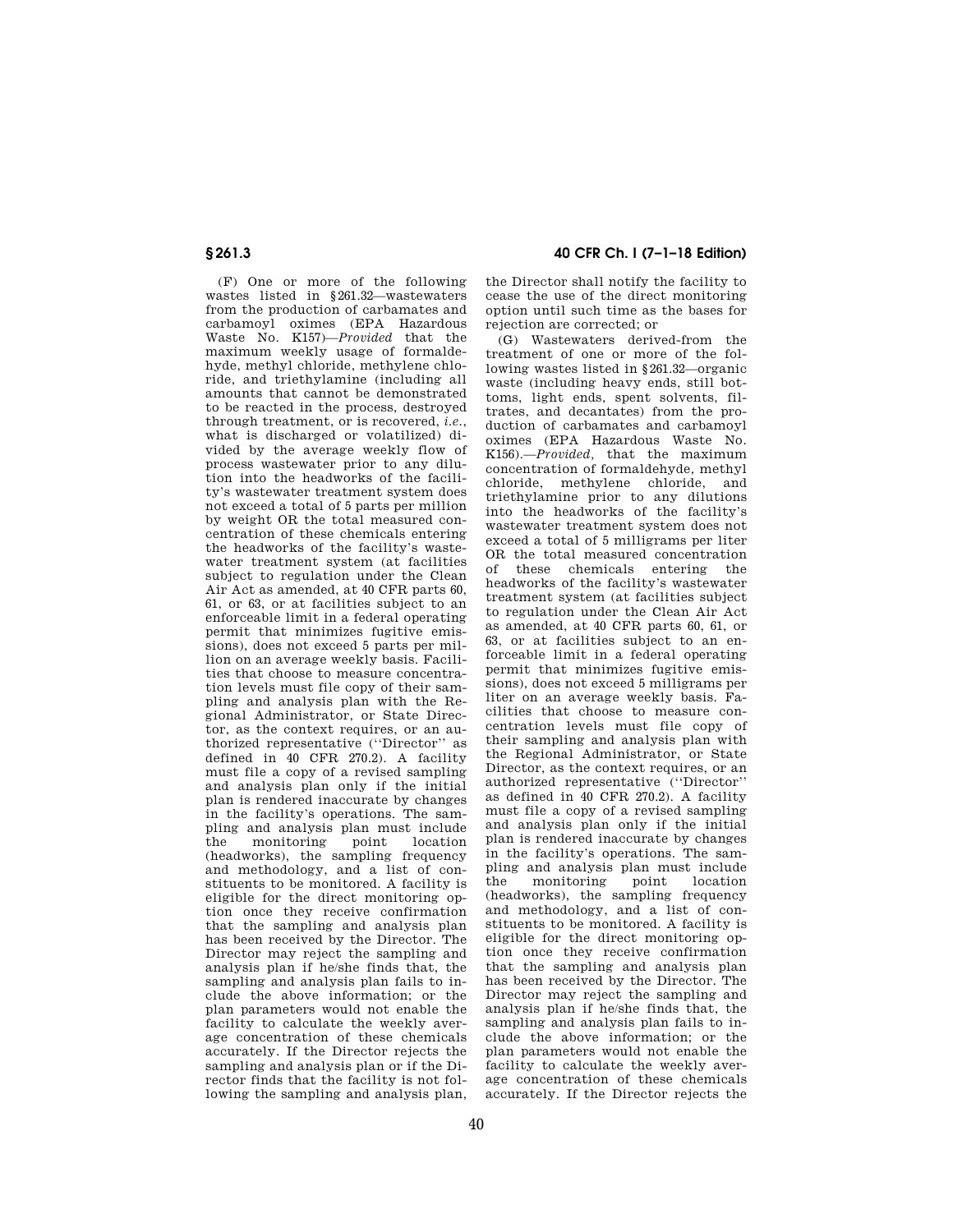(F) One or more of the following wastes listed in §261.32—wastewaters from the production of carbamates and carbamoyl oximes (EPA Hazardous Waste No. K157)—*Provided* that the maximum weekly usage of formaldehyde, methyl chloride, methylene chloride, and triethylamine (including all amounts that cannot be demonstrated to be reacted in the process, destroyed through treatment, or is recovered, *i.e.*, what is discharged or volatilized) divided by the average weekly flow of process wastewater prior to any dilu-.<br>tion into the headworks of the facility's wastewater treatment system does not exceed a total of 5 parts per million by weight OR the total measured concentration of these chemicals entering the headworks of the facility's wastewater treatment system (at facilities subject to regulation under the Clean Air Act as amended, at 40 CFR parts 60, 61, or 63, or at facilities subject to an enforceable limit in a federal operating permit that minimizes fugitive emissions), does not exceed 5 parts per million on an average weekly basis. Facilities that choose to measure concentration levels must file copy of their sampling and analysis plan with the Regional Administrator, or State Director, as the context requires, or an authorized representative (''Director'' as defined in 40 CFR 270.2). A facility must file a copy of a revised sampling and analysis plan only if the initial plan is rendered inaccurate by changes in the facility's operations. The sampling and analysis plan must include<br>the monitoring point location the monitoring point location (headworks), the sampling frequency and methodology, and a list of constituents to be monitored. A facility is eligible for the direct monitoring option once they receive confirmation that the sampling and analysis plan has been received by the Director. The Director may reject the sampling and analysis plan if he/she finds that, the sampling and analysis plan fails to include the above information; or the plan parameters would not enable the facility to calculate the weekly average concentration of these chemicals accurately. If the Director rejects the sampling and analysis plan or if the Director finds that the facility is not following the sampling and analysis plan,

the Director shall notify the facility to cease the use of the direct monitoring option until such time as the bases for rejection are corrected; or

(G) Wastewaters derived-from the treatment of one or more of the following wastes listed in §261.32—organic waste (including heavy ends, still bottoms, light ends, spent solvents, filtrates, and decantates) from the production of carbamates and carbamoyl oximes (EPA Hazardous Waste No. K156).—*Provided,* that the maximum concentration of formaldehyde, methyl chloride, methylene chloride, and triethylamine prior to any dilutions into the headworks of the facility's wastewater treatment system does not exceed a total of 5 milligrams per liter OR the total measured concentration of these chemicals entering the headworks of the facility's wastewater treatment system (at facilities subject to regulation under the Clean Air Act as amended, at 40 CFR parts 60, 61, or 63, or at facilities subject to an enforceable limit in a federal operating permit that minimizes fugitive emissions), does not exceed 5 milligrams per liter on an average weekly basis. Facilities that choose to measure concentration levels must file copy of their sampling and analysis plan with the Regional Administrator, or State Director, as the context requires, or an authorized representative (''Director'' as defined in 40 CFR 270.2). A facility must file a copy of a revised sampling and analysis plan only if the initial plan is rendered inaccurate by changes in the facility's operations. The sampling and analysis plan must include the monitoring point location (headworks), the sampling frequency and methodology, and a list of constituents to be monitored. A facility is eligible for the direct monitoring option once they receive confirmation that the sampling and analysis plan has been received by the Director. The Director may reject the sampling and analysis plan if he/she finds that, the sampling and analysis plan fails to include the above information; or the plan parameters would not enable the facility to calculate the weekly average concentration of these chemicals accurately. If the Director rejects the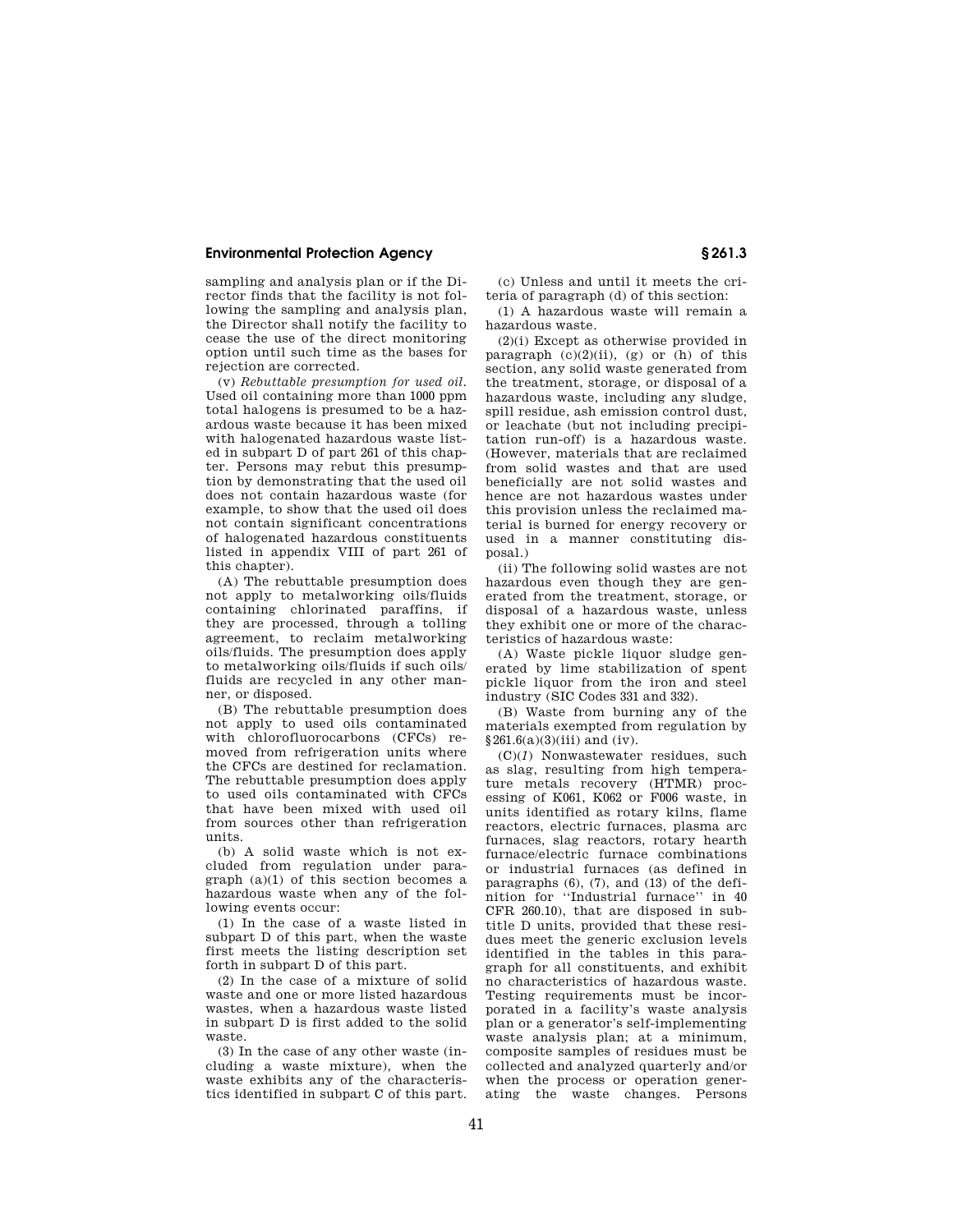sampling and analysis plan or if the Director finds that the facility is not following the sampling and analysis plan, the Director shall notify the facility to cease the use of the direct monitoring option until such time as the bases for rejection are corrected.

(v) *Rebuttable presumption for used oil.*  Used oil containing more than 1000 ppm total halogens is presumed to be a hazardous waste because it has been mixed with halogenated hazardous waste listed in subpart D of part 261 of this chapter. Persons may rebut this presumption by demonstrating that the used oil does not contain hazardous waste (for example, to show that the used oil does not contain significant concentrations of halogenated hazardous constituents listed in appendix VIII of part 261 of this chapter).

(A) The rebuttable presumption does not apply to metalworking oils/fluids containing chlorinated paraffins, if they are processed, through a tolling agreement, to reclaim metalworking oils/fluids. The presumption does apply to metalworking oils/fluids if such oils/ fluids are recycled in any other manner, or disposed.

(B) The rebuttable presumption does not apply to used oils contaminated with chlorofluorocarbons (CFCs) removed from refrigeration units where the CFCs are destined for reclamation. The rebuttable presumption does apply to used oils contaminated with CFCs that have been mixed with used oil from sources other than refrigeration units.

(b) A solid waste which is not excluded from regulation under paragraph  $(a)(1)$  of this section becomes a hazardous waste when any of the following events occur:

(1) In the case of a waste listed in subpart D of this part, when the waste first meets the listing description set forth in subpart D of this part.

(2) In the case of a mixture of solid waste and one or more listed hazardous wastes, when a hazardous waste listed in subpart D is first added to the solid waste.

(3) In the case of any other waste (including a waste mixture), when the waste exhibits any of the characteristics identified in subpart C of this part.

(c) Unless and until it meets the criteria of paragraph (d) of this section:

(1) A hazardous waste will remain a hazardous waste.

(2)(i) Except as otherwise provided in paragraph  $(c)(2)(ii)$ ,  $(g)$  or  $(h)$  of this section, any solid waste generated from the treatment, storage, or disposal of a hazardous waste, including any sludge, spill residue, ash emission control dust, or leachate (but not including precipitation run-off) is a hazardous waste. (However, materials that are reclaimed from solid wastes and that are used beneficially are not solid wastes and hence are not hazardous wastes under this provision unless the reclaimed material is burned for energy recovery or used in a manner constituting disposal.)

(ii) The following solid wastes are not hazardous even though they are generated from the treatment, storage, or disposal of a hazardous waste, unless they exhibit one or more of the characteristics of hazardous waste:

(A) Waste pickle liquor sludge generated by lime stabilization of spent pickle liquor from the iron and steel industry (SIC Codes 331 and 332).

(B) Waste from burning any of the materials exempted from regulation by §261.6(a)(3)(iii) and (iv).

(C)(*1*) Nonwastewater residues, such as slag, resulting from high temperature metals recovery (HTMR) processing of K061, K062 or F006 waste, in units identified as rotary kilns, flame reactors, electric furnaces, plasma arc furnaces, slag reactors, rotary hearth furnace/electric furnace combinations or industrial furnaces (as defined in paragraphs (6), (7), and (13) of the definition for ''Industrial furnace'' in 40 CFR 260.10), that are disposed in subtitle D units, provided that these residues meet the generic exclusion levels identified in the tables in this paragraph for all constituents, and exhibit no characteristics of hazardous waste. Testing requirements must be incorporated in a facility's waste analysis plan or a generator's self-implementing waste analysis plan; at a minimum, composite samples of residues must be collected and analyzed quarterly and/or when the process or operation generating the waste changes. Persons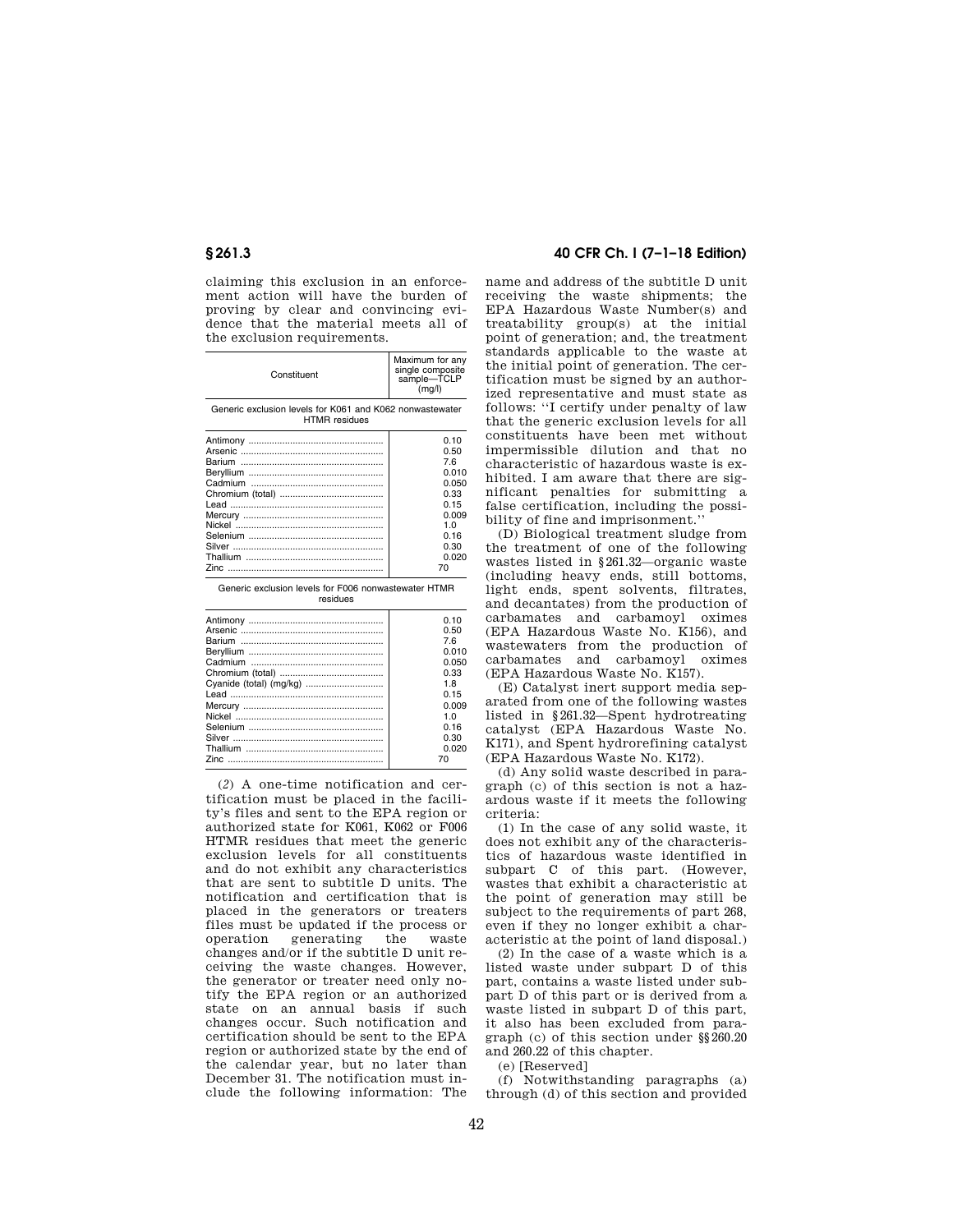claiming this exclusion in an enforcement action will have the burden of proving by clear and convincing evidence that the material meets all of the exclusion requirements.

| Constituent                                                                      | Maximum for any<br>single composite<br>sample-TCLP<br>(mq/l)                                                |
|----------------------------------------------------------------------------------|-------------------------------------------------------------------------------------------------------------|
| Generic exclusion levels for K061 and K062 nonwastewater<br><b>HTMR</b> residues |                                                                                                             |
| Generic exclusion levels for F006 nonwastewater HTMR<br>residues                 | 0.10<br>0.50<br>7.6<br>0.010<br>0.050<br>0.33<br>0.15<br>0.009<br>1.0<br>0.16<br>0.30<br>0.020<br>70        |
|                                                                                  | 0.10<br>0.50<br>7.6<br>0.010<br>0.050<br>0.33<br>1.8<br>0.15<br>0.009<br>1.0<br>0.16<br>0.30<br>0.020<br>70 |

(*2*) A one-time notification and certification must be placed in the facility's files and sent to the EPA region or authorized state for K061, K062 or F006 HTMR residues that meet the generic exclusion levels for all constituents and do not exhibit any characteristics that are sent to subtitle D units. The notification and certification that is placed in the generators or treaters files must be updated if the process or operation generating the waste changes and/or if the subtitle D unit receiving the waste changes. However, the generator or treater need only notify the EPA region or an authorized state on an annual basis if such changes occur. Such notification and certification should be sent to the EPA region or authorized state by the end of the calendar year, but no later than December 31. The notification must include the following information: The

### **§ 261.3 40 CFR Ch. I (7–1–18 Edition)**

name and address of the subtitle D unit receiving the waste shipments; the EPA Hazardous Waste Number(s) and treatability group(s) at the initial point of generation; and, the treatment standards applicable to the waste at the initial point of generation. The certification must be signed by an authorized representative and must state as follows: ''I certify under penalty of law that the generic exclusion levels for all constituents have been met without impermissible dilution and that no characteristic of hazardous waste is exhibited. I am aware that there are significant penalties for submitting a false certification, including the possibility of fine and imprisonment.''

(D) Biological treatment sludge from the treatment of one of the following wastes listed in §261.32—organic waste (including heavy ends, still bottoms, light ends, spent solvents, filtrates, and decantates) from the production of carbamates and carbamoyl oximes (EPA Hazardous Waste No. K156), and wastewaters from the production of carbamates and carbamoyl oximes (EPA Hazardous Waste No. K157).

(E) Catalyst inert support media separated from one of the following wastes listed in §261.32—Spent hydrotreating catalyst (EPA Hazardous Waste No. K171), and Spent hydrorefining catalyst (EPA Hazardous Waste No. K172).

(d) Any solid waste described in paragraph (c) of this section is not a hazardous waste if it meets the following criteria:

(1) In the case of any solid waste, it does not exhibit any of the characteristics of hazardous waste identified in subpart C of this part. (However, wastes that exhibit a characteristic at the point of generation may still be subject to the requirements of part 268, even if they no longer exhibit a characteristic at the point of land disposal.)

(2) In the case of a waste which is a listed waste under subpart D of this part, contains a waste listed under subpart D of this part or is derived from a waste listed in subpart D of this part, it also has been excluded from paragraph (c) of this section under §§260.20 and 260.22 of this chapter.

(e) [Reserved]

(f) Notwithstanding paragraphs (a) through (d) of this section and provided